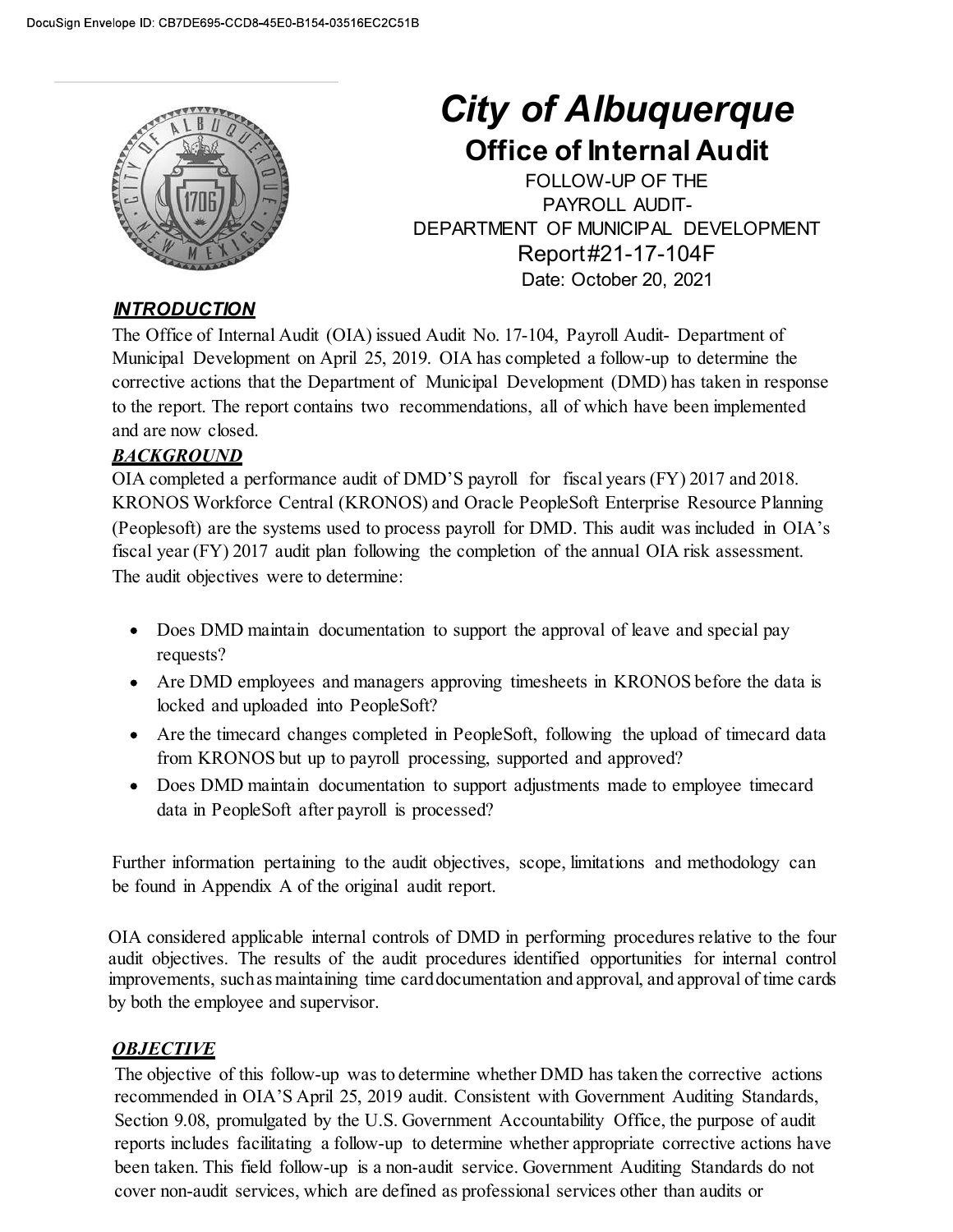

# City of Albuquerque

**ity of Albuquerque**<br>Office of Internal Audit<br>FOLLOW-UP OF THE<br>PAYROLL AUDIT-<br>RTMENT OF MUNICIPAL DEVELOPMENT<br>Report#21-17-104F **of Albuquerque<br>
CONTRIGE CONTRIGUATE:**<br>
FOLLOW-UP OF THE<br>
PAYROLL AUDIT-<br>
T OF MUNICIPAL DEVELOPMENT<br>
Report#21-17-104F<br>
Pate: October 20, 2021 **f Albuquerque**<br> **Fray Audit**<br> **PAYROLL AUDIT-**<br> **PAYROLL AUDIT-<br>
OF MUNICIPAL DEVELOPMENT**<br>
port#21-17-104F<br>
te: October 20, 2021 **City of Albuquerque**<br> **Office of Internal Audit**<br>
FOLLOW-UP OF THE<br>
PAYROLL AUDIT-<br>
DEPARTMENT OF MUNICIPAL DEVELOPMENT<br>
Report#21-17-104F<br>
Date: October 20, 2021 Report#21-17-104F **Of Albuquerque**<br> **ce of Internal Audit**<br>
FOLLOW-UP OF THE<br>
PAYROLL AUDIT-<br>
NT OF MUNICIPAL DEVELOPMENT<br>
Report#21-17-104F<br>
Date: October 20, 2021<br>
-104, Payroll Audit- Department of<br>
mpleted a follow-up to determine the<br>

## **INTRODUCTION**

City of Albuquerque<br>
Office of Internal Audit<br>
FOLLOW-UP OF THE<br>
PAYROLL AUDIT-<br>
DEPARTMENT OF MUNICIPAL DEVELOPMENT<br>
MIRODUCTION<br>
The Office of Internal Audit<br>
NERODUCTION<br>
The Office of Internal Audit (OIA) issued Audit Municipal Development on April 25, 2019. OIA has completed a follow-up of entermine the control of the perfect of the perfect of the perfect of the Development of the Office of the OFFICE DEPARTMENT OF MUNICIPAL DEVELOPMEN City of Albuquerque<br>
City of Albuquerque<br>
Office of Internal Audit<br>
FOLLOW-UP OF THE<br>
DEPARTMENT OF MUNICIPAL DEVELOPMENT<br>
Report #21-17-104F<br>
DEPARTMENT OF MUNICIPAL DEVELOPMENT<br>
Report #21-17-104F<br>
DEPARTMENT OF MUNICIPA **City of Albuquerque**<br> **City of Albuquerque**<br> **Office of Internal Audit**<br>
FOLLOW-UP OF THE<br>
PAYROLL AUDIT-<br>
PAYROLL AUDITED<br>
DEPARTMENT OF MUNICIPAL DEVELOPMENT<br>
Report #21-17-104F<br>
Department of Municipal Development on **City of Albuque.**<br> **City of Albuque.**<br> **City of Albuque**<br> **City of Albuque**<br> **City of Albuquential A**<br>
FOLLOW-UP OF THE<br>
PEPARTMENT OF MUNICIPAL AUDIT<br>
PEPARTMENT OF MUNICIPAL DED<br>
The Office of Internal Audit (OIA) issue **City of Albuquerque**<br> **Office of Internal Audit**<br>
FOLLOW-UP OF THE<br>
PAYROLL AUDIT-<br>
PAYROLL AUDIT-<br>
DEPARTMENT OF MUNICIPAL DEVELOPMENT<br>
Report #21-17-104F<br>
DEPARTMENT OF MUNICIPAL DEVELOPMENT<br>
Report #21-17-104F<br>
Date: O

## **BACKGROUND**

KRONOS Workforce Central (KRONOS) and Oracle PeopleSoft Enterprise Resource Planning **CHECK CONSET CONSET CONSET CONSET CONSET CONSET CONSET CONSERVAT CONSERVAT CONSERVAT CONSERVAT CONSERVAT CONSERVAT CONSERVAT CONSERVAT THE DEVELOPMENT CONSERVAT THE DREPARTMENT OF MUNICIPAL DEVELOPMENT CONSERVAT THE OFFI EXECUTE:**<br>
FISCULTION<br>
FOLLOW-UP OF THE PART<br>
PAYROLL AUDIT<br>
PAYROLL AUDIT<br>
PAYROLL AUDIT<br>
PAYROLL AUDIT<br>
TREQDILCTION<br>
THE Office of Internal Audit (OIA) issued Audit No. 17-104, Payroll Audit- Department of<br>
Municipal D The audit objectives were to determine: We actuots that the Department of Municipal Development (DMD) has taken in response<br>
report. The report contains two recommendations, all of which have been implemented<br>
rempleted a performance audit of DMD'S payroll for B SECUTE THE SECUTE THAND MORE THE SECUTE THAND THE SECUTE AND SUPPOSED IN A CONDUCT THAND THE SECUTE THE SECUTE<br>
THE APPENDIX A CONDUCT THE SECUTE THAND THE SECUTE THAND THE SECUTE THAND MORE THAN ONE THAN ONE THAN AN ONE O

- Does DMD maintain documentation to support the approval of leave and special pay requests?
- Are DMD employees and managers approving timesheets in KRONOS before the data is locked and uploaded into PeopleSoft?
- Are the timecard changes completed in PeopleSoft, following the upload of timecard data from KRONOS but up to payroll processing, supported and approved?
- data in PeopleSoft after payroll is processed?

Further information pertaining to the audit objectives, scope, limitations and methodology can

OIA considered applicable internal controls of DMD in performing procedures relative to the four audit objectives. The results of the audit procedures identified opportunities for internal control improvements, such as maintaining time card documentation and approval, and approval of time cards by both the employee and supervisor.

# **OBJECTIVE**

• Are DMD employees and managers approving timesheets in KRONOS before the data is locked and uploaded into PeopleSoft?<br>
• Are the timecard changes completed in PeopleSoft, following the uphad of timecard data<br>
from KRONO is considered and uploaded into PeopleSoft?<br>
• Are the timecard changes completed in PeopleSoft, following the upboad of timecard data<br>
from KRONOS but up to payroll processing, supported and approved?<br>
• Dose DMD maintain Section 9.08, promulgated by the U.S. Government Accountability Office, the purpose of audit reports includes facilitating a follow-up to determine whether appropriate corrective actions have • Doss DMD maintain documentation to support adjustments made to employee timecard data in PeopleSoft after payroll is processed?<br>
Further information pertaining to the audit objectives, scope, limitations and methodology cover non-audit services, which are defined as professional services other than audits or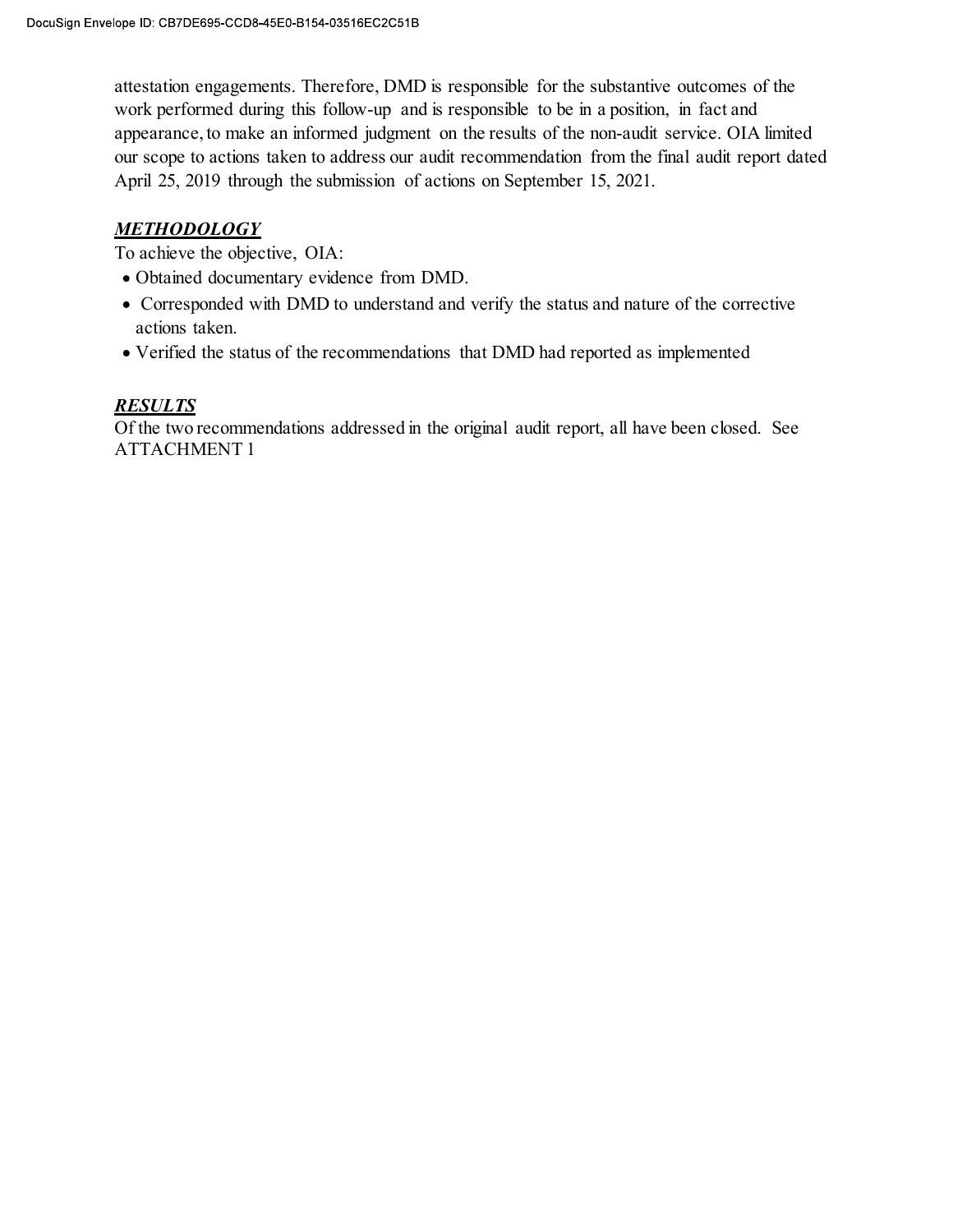attestation engagements. Therefore, DMD is responsible for the substantive outcomes of the work performed during this follow-up and is responsible to be in a position, in fact and appearance, to make an informed judgment on the results of the non-audit service. OIA limited ope ID: CB7DE695-CCD8-45E0-B154-03516EC2C51B<br>attestation engagements. Therefore, DMD is responsible for the substantive outcomes of the<br>work performed during this follow-up and is responsible to be in a position, in fact a April 25, 2019 through the submission of actions on September 15, 2021. ID: C87DE695-CCD8-45E0-B154-03516EC2C51B<br>
Station engagements. Therefore, DMD is responsible for the substantive outcomes of the<br>
K performed during this follow-up and is responsible to be in a position, in fact and<br>
earan attestation engagements. Therefore, DMD is responsible for the substantive outcomes of the work performed during this follow-up and is responsible to be in a position, in fact and appearance, to make an informed judgment o attestation engagements. Therefore, DMD is responsible for the substantive outcomes<br>work performed during this follow-up and is responsible to be in a position, in fact and<br>appearance, to make an informed judgment on the r

## METHODOLOGY

To achieve the objective, OIA:

- Obtained documentary evidence from DMD.
- actions taken.
- Verified the status of the recommendations that DMD had reported as implemented

## **RESULTS**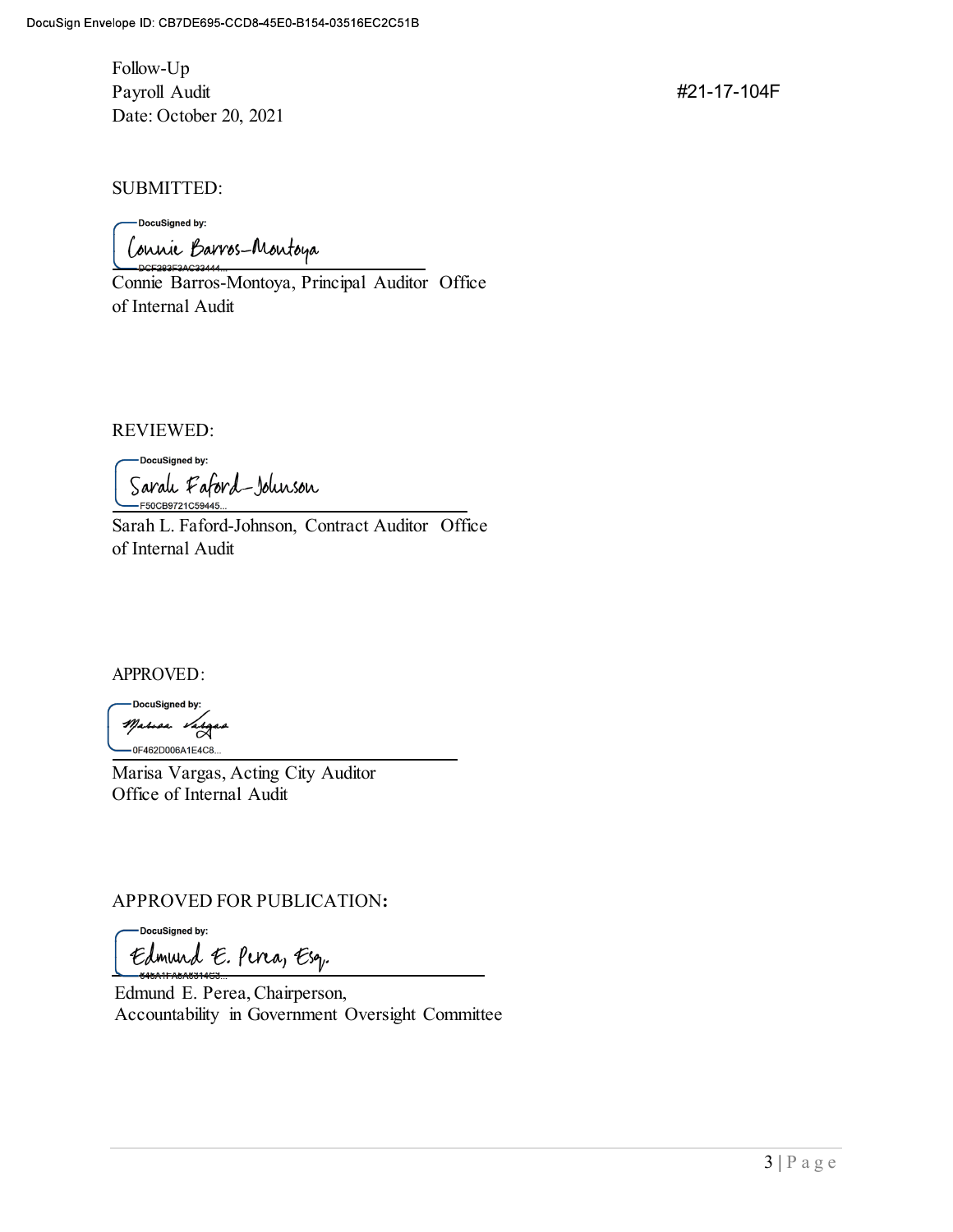Follow-Up lope ID: CB7DE695-CCD8-45E0-B154-03516EC2C51B<br>Follow-Up<br>Payroll Audit<br>Date: October 20, 2021<br>SUBMITTED: Date: October 20, 2021

#21-17-104F

SUBMITTED:

blow-Up<br>
Follow-Up<br>
Payroll Audit<br>
Payroll Audit<br>
Connie Barros-Montoya, Principal Auditor Office<br>
Connie Barros-Montoya, Principal Auditor Office<br>
of Internal Audit of ID: CB7DE695-CCD8-45E0-B154-03516EC2C51B<br>
Follow-Up<br>
Payroll Audit #21<br>
Date: October 20, 2021<br>
SUBMITTED:<br>
Conditional Barros-Montoya, Principal Auditor Office<br>
Connie Barros-Montoya, Principal Auditor Office<br>
of Inter

REVIEWED:

SUBMITTED:<br>
Concessional by:<br>
Concessional Barros-Montoya, Principal Auditor Office<br>
Connic Barros-Montoya, Principal Auditor Office<br>
of Internal Audit<br>
Sarah, Eaford-Johnson, Contract Auditor Office<br>
Sarah, L. Faford-John SUBMITTED:<br>
Consistence by:<br>
Connic Barros-Montoya, Principal Auditor Office<br>
Connic Barros-Montoya, Principal Auditor Office<br>
of Internal Audit<br>
Exceptstressing.<br>
Caralu Faford Jolusson<br>
Sarah L. Faford-Johnson, Contract REVIEWED:<br>
Cacalistant is:<br>
Caral Caracteristics<br>
Sarah L. Faford Johnson, Contract Auditor Office<br>
of Internal Audit<br> *Marisa Vargas, Acting City Auditor*<br>
Therason Marisa Vargas, Acting City Auditor<br>
Office of Internal A Concessoration Contract Auditor Office<br>
Sarah L. Faford-Johnson, Contract Auditor Office<br>
Thermal Audit<br>
APPROVED:<br>
Presences<br>
Marisa Vargas, Acting City Auditor<br>
Marisa Vargas, Acting City Auditor<br>
Office of Internal Audi

APPROVED:

Office of Internal Audit

 Edmund E. Perea, Chairperson, APPROVED:<br>  $\frac{1}{\sqrt{6}}$ <br>  $\frac{1}{\sqrt{6}}$ <br>  $\frac{1}{\sqrt{6}}$ <br>  $\frac{1}{\sqrt{6}}$ <br>  $\frac{1}{\sqrt{6}}$ <br>  $\frac{1}{\sqrt{6}}$ <br>  $\frac{1}{\sqrt{6}}$ <br>  $\frac{1}{\sqrt{6}}$ <br>  $\frac{1}{\sqrt{6}}$ <br>  $\frac{1}{\sqrt{6}}$ <br>  $\frac{1}{\sqrt{6}}$ <br>  $\frac{1}{\sqrt{6}}$ <br>  $\frac{1}{\sqrt{6}}$ <br>  $\frac{1}{\sqrt{6}}$ <br>  $\frac{1}{\sqrt{6}}$ <br>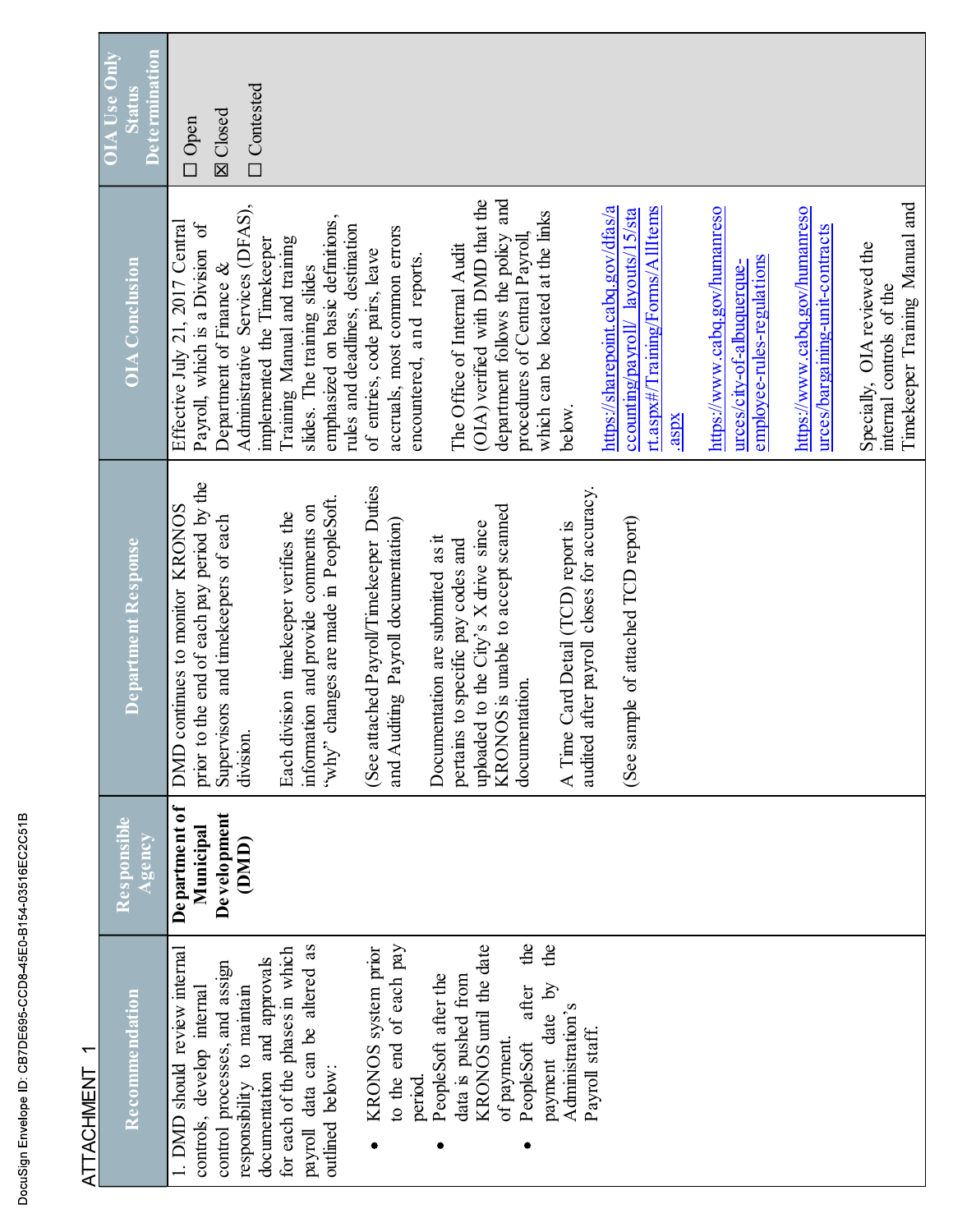| Recommendation                                                                                                                                                                                                                                                                                                                                                                                                                                                                                                                                                                          | Responsible<br>gency                                | Department Response                                                                                                                                                                                                                                                                                                                                                                                                                                                                                                                                                                                                                                | <b>OIA</b> Conclusion                                                                                                                                                                                                                                                                                                                                                                                                                                                                                                                                                                                                                                                                                                      | Status<br>te rmin                              |
|-----------------------------------------------------------------------------------------------------------------------------------------------------------------------------------------------------------------------------------------------------------------------------------------------------------------------------------------------------------------------------------------------------------------------------------------------------------------------------------------------------------------------------------------------------------------------------------------|-----------------------------------------------------|----------------------------------------------------------------------------------------------------------------------------------------------------------------------------------------------------------------------------------------------------------------------------------------------------------------------------------------------------------------------------------------------------------------------------------------------------------------------------------------------------------------------------------------------------------------------------------------------------------------------------------------------------|----------------------------------------------------------------------------------------------------------------------------------------------------------------------------------------------------------------------------------------------------------------------------------------------------------------------------------------------------------------------------------------------------------------------------------------------------------------------------------------------------------------------------------------------------------------------------------------------------------------------------------------------------------------------------------------------------------------------------|------------------------------------------------|
| $\mathbf{the}$<br><b>KRONOS</b> until the date<br>$\frac{1}{2}$<br>data can be altered as<br>o the end of each pay<br>should review internal<br>for each of the phases in which<br>KRONOS system prior<br>documentation and approvals<br>processes, and assign<br>PeopleSoft after the<br>lata is pushed from<br>bility to maintain<br>bayment date by<br>after<br>develop internal<br>Administration's<br>Payroll staff.<br>of payment.<br>PeopleSoft<br>below:<br>period.<br>1. DMD<br>controls,<br>responsi<br>control<br>outlined<br>payroll<br>$\bullet$<br>$\bullet$<br>$\bullet$ | De partment of<br>Development<br>Municipal<br>(DMD) | prior to the end of each pay period by the<br>(See attached Payroll/Timekeeper Duties<br>audited after payroll closes for accuracy.<br>"why" changes are made in PeopleSoft.<br>KRONOS is unable to accept scanned<br>DMD continues to monitor KRONOS<br>information and provide comments on<br>Each division timekeeper verifies the<br>Supervisors and timekeepers of each<br>(See sample of attached TCD report)<br>and Auditing Payroll documentation)<br>A Time Card Detail (TCD) report is<br>uploaded to the City's X drive since<br>Documentation are submitted as it<br>pertains to specific pay codes and<br>documentation.<br>division. | and<br>(OIA) verified with DMD that the<br>Administrative Services (DFAS),<br>https://sharepoint.cabq.gov/dfas/a<br>rt.aspx#/Training/Forms/AllItems<br>ccounting/payroll/ layouts/15/sta<br>which can be located at the links<br>emphasized on basic definitions,<br>Effective July 21, 2017 Central<br>and deadlines, destination<br>Payroll, which is a Division of<br>accruals, most common errors<br>department follows the policy<br>procedures of Central Payroll<br>Training Manual and training<br>implemented the Timekeeper<br>The Office of Internal Audit<br>of entries, code pairs, leave<br>encountered, and reports.<br>Department of Finance &<br>slides. The training slides<br>below.<br>rules<br>xdsp. | Oontested<br><b>X</b> Closed<br>Open<br>$\Box$ |
|                                                                                                                                                                                                                                                                                                                                                                                                                                                                                                                                                                                         |                                                     |                                                                                                                                                                                                                                                                                                                                                                                                                                                                                                                                                                                                                                                    | https://www.cabq.gov/humanreso<br>employee-rules-regulations<br>urces/city-of-albuquerque-                                                                                                                                                                                                                                                                                                                                                                                                                                                                                                                                                                                                                                 |                                                |
|                                                                                                                                                                                                                                                                                                                                                                                                                                                                                                                                                                                         |                                                     |                                                                                                                                                                                                                                                                                                                                                                                                                                                                                                                                                                                                                                                    | https://www.cabq.gov/humanreso<br>urces/bargaining-unit-contracts                                                                                                                                                                                                                                                                                                                                                                                                                                                                                                                                                                                                                                                          |                                                |
|                                                                                                                                                                                                                                                                                                                                                                                                                                                                                                                                                                                         |                                                     |                                                                                                                                                                                                                                                                                                                                                                                                                                                                                                                                                                                                                                                    | Timekeeper Training Manual and<br>Specially, OIA reviewed the<br>internal controls of the                                                                                                                                                                                                                                                                                                                                                                                                                                                                                                                                                                                                                                  |                                                |

DocuSign Envelope ID: CB7DE695-CCD8-45E0-B154-03516EC2C51B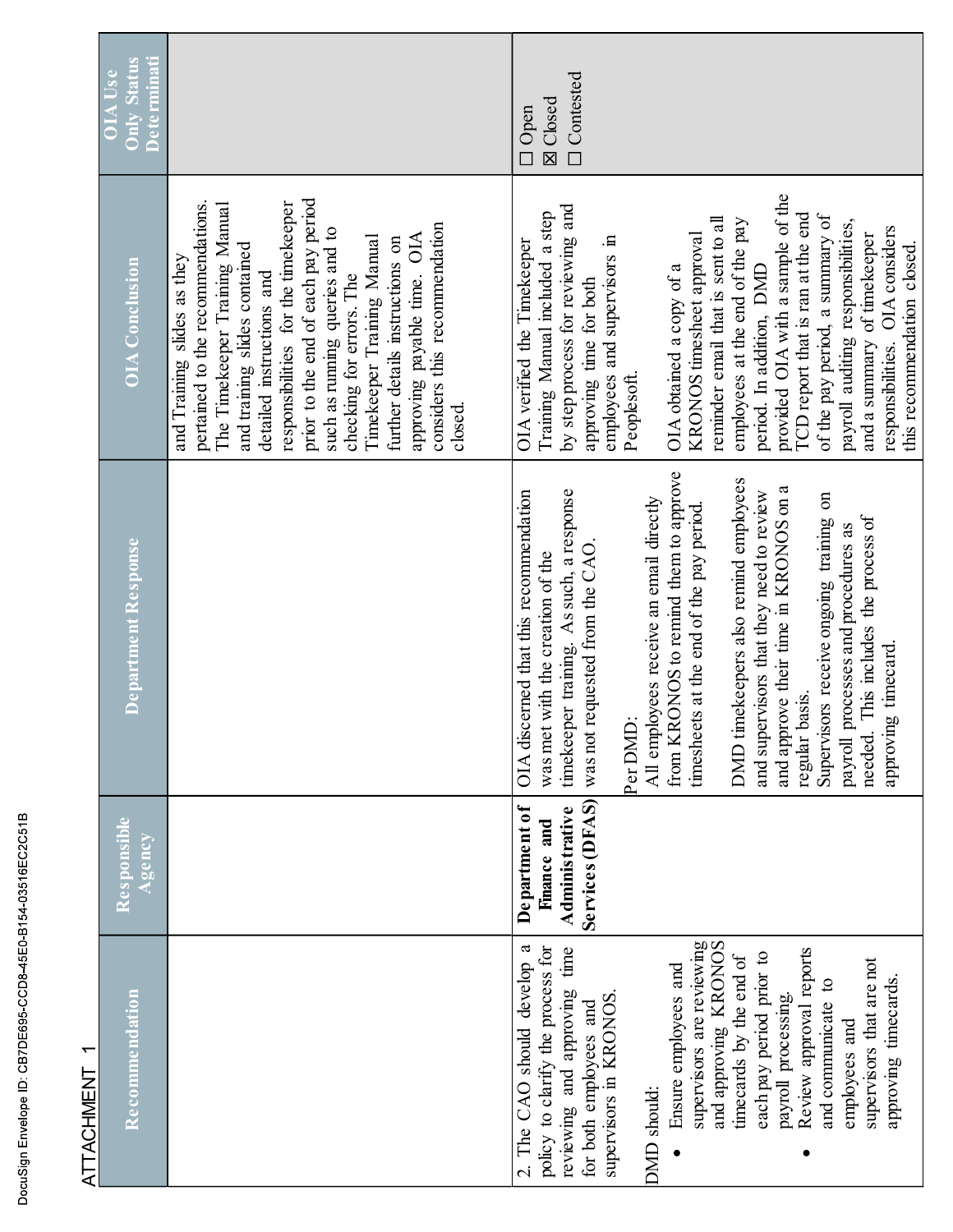| ATTACHMEN1                                                                                                                                                                                                                                                                                                                                                                                                                                                                     |                                                                           |                                                                                                                                                                                                                                                                                                                                                                                                                                                                                                                                                                                                           |                                                                                                                                                                                                                                                                                                                                                                                                                                                                                                                                                                                                          |                                            |
|--------------------------------------------------------------------------------------------------------------------------------------------------------------------------------------------------------------------------------------------------------------------------------------------------------------------------------------------------------------------------------------------------------------------------------------------------------------------------------|---------------------------------------------------------------------------|-----------------------------------------------------------------------------------------------------------------------------------------------------------------------------------------------------------------------------------------------------------------------------------------------------------------------------------------------------------------------------------------------------------------------------------------------------------------------------------------------------------------------------------------------------------------------------------------------------------|----------------------------------------------------------------------------------------------------------------------------------------------------------------------------------------------------------------------------------------------------------------------------------------------------------------------------------------------------------------------------------------------------------------------------------------------------------------------------------------------------------------------------------------------------------------------------------------------------------|--------------------------------------------|
| Recommendation                                                                                                                                                                                                                                                                                                                                                                                                                                                                 | Responsible<br>Agency                                                     | Department Response                                                                                                                                                                                                                                                                                                                                                                                                                                                                                                                                                                                       | <b>OIA</b> Conclusion                                                                                                                                                                                                                                                                                                                                                                                                                                                                                                                                                                                    | <b>Status</b><br>$\bar{\bar{\mathbf{5}}}$  |
|                                                                                                                                                                                                                                                                                                                                                                                                                                                                                |                                                                           |                                                                                                                                                                                                                                                                                                                                                                                                                                                                                                                                                                                                           | prior to the end of each pay period<br>responsibilities for the timekeeper<br>The Timekeeper Training Manual<br>pertained to the recommendations.<br>considers this recommendation<br>such as running queries and to<br>OIA<br>Timekeeper Training Manual<br>further details instructions on<br>and training slides contained<br>and Training slides as they<br>instructions and<br>approving payable time.<br>checking for errors. The<br>detailed<br>closed.                                                                                                                                           |                                            |
| supervisors are reviewing<br>and approving KRONOS<br>2. The CAO should develop a<br>policy to clarify the process for<br>and approving time<br>Review approval reports<br>pay period prior to<br>timecards by the end of<br>supervisors that are not<br>Ensure employees and<br>approving timecards.<br>and communicate to<br>payroll processing.<br>in KRONOS.<br>for both employees and<br>employees and<br>DMD should<br>each<br>supervisors<br>reviewing<br>$\bullet$<br>٠ | Services (DFAS)<br>De partment of<br><b>Administrative</b><br>Finance and | from KRONOS to remind them to approve<br>DMD timekeepers also remind employees<br>and approve their time in KRONOS on a<br>OIA discerned that this recommendation<br>timekeeper training. As such, a response<br>and supervisors that they need to review<br>Supervisors receive ongoing training on<br>All employees receive an email directly<br>timesheets at the end of the pay period.<br>This includes the process of<br>payroll processes and procedures as<br>was not requested from the CAO.<br>was met with the creation of the<br>approving timecard.<br>regular basis.<br>Per DMD:<br>needed. | OIA with a sample of the<br>by step process for reviewing and<br>Manual included a step<br>TCD report that is ran at the end<br>of the pay period, a summary of<br>reminder email that is sent to all<br>employees at the end of the pay<br>payroll auditing responsibilities,<br>OIA considers<br>KRONOS timesheet approval<br>and a summary of timekeeper<br>employees and supervisors in<br>OIA verified the Timekeeper<br>this recommendation closed.<br>period. In addition, DMD<br>OIA obtained a copy of a<br>approving time for both<br>responsibilities.<br>Peoplesoft.<br>provided<br>Training | Omtested<br><b>⊠</b> Closed<br>$\Box$ Open |

DocuSign Envelope ID: CB7DE695-CCD8-45E0-B154-03516EC2C51B